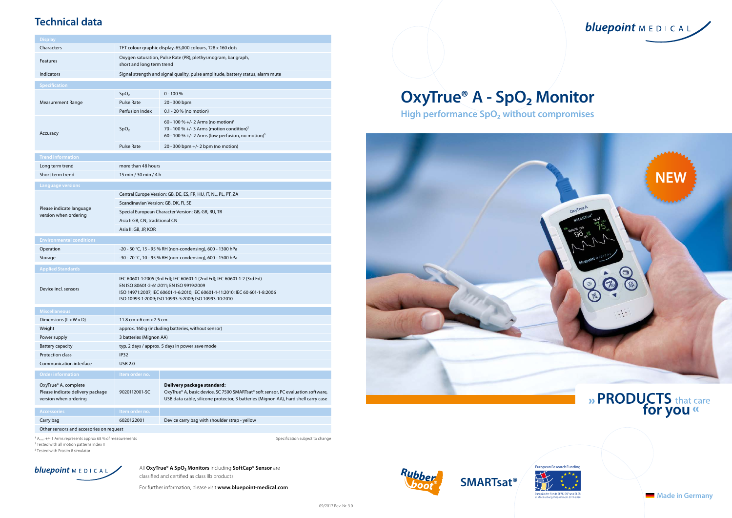bluepoint MEDICAL



# » PRODUCTS that care<br>for you «

All **OxyTrue® A SpO₂ Monitors** including **SoftCap® Sensor** are classified and certified as class IIb products.

For further information, please visit **www.bluepoint-medical.com**

## **Technical data**

<sup>2</sup> Tested with all motion patterns Index II

<sup>3</sup> Tested with Prosim 8 simulator

inge









# **OxyTrue® A - SpO₂ Monitor**

**High performance SpO₂ without compromises**

| <b>Display</b>                                                                    |                                                                                                                                                                                                                                                              |                                                                                                                                                                                                      |  |  |  |  |
|-----------------------------------------------------------------------------------|--------------------------------------------------------------------------------------------------------------------------------------------------------------------------------------------------------------------------------------------------------------|------------------------------------------------------------------------------------------------------------------------------------------------------------------------------------------------------|--|--|--|--|
| Characters                                                                        | TFT colour graphic display, 65,000 colours, 128 x 160 dots                                                                                                                                                                                                   |                                                                                                                                                                                                      |  |  |  |  |
| Features                                                                          | Oxygen saturation, Pulse Rate (PR), plethysmogram, bar graph,<br>short and long term trend                                                                                                                                                                   |                                                                                                                                                                                                      |  |  |  |  |
| <b>Indicators</b>                                                                 | Signal strength and signal quality, pulse amplitude, battery status, alarm mute                                                                                                                                                                              |                                                                                                                                                                                                      |  |  |  |  |
| <b>Specification</b>                                                              |                                                                                                                                                                                                                                                              |                                                                                                                                                                                                      |  |  |  |  |
|                                                                                   | SpO <sub>2</sub>                                                                                                                                                                                                                                             | $0 - 100 %$                                                                                                                                                                                          |  |  |  |  |
| <b>Measurement Range</b>                                                          | <b>Pulse Rate</b>                                                                                                                                                                                                                                            | 20 - 300 bpm                                                                                                                                                                                         |  |  |  |  |
|                                                                                   | Perfusion Index                                                                                                                                                                                                                                              | 0.1 - 20 % (no motion)                                                                                                                                                                               |  |  |  |  |
| Accuracy                                                                          | SpO <sub>2</sub>                                                                                                                                                                                                                                             | 60 - 100 % +/- 2 Arms (no motion) <sup>1</sup><br>70 - 100 % +/- 3 Arms (motion condition) <sup>2</sup><br>60 - 100 % +/- 2 Arms (low perfusion, no motion) <sup>3</sup>                             |  |  |  |  |
|                                                                                   | <b>Pulse Rate</b>                                                                                                                                                                                                                                            | 20 - 300 bpm +/- 2 bpm (no motion)                                                                                                                                                                   |  |  |  |  |
| <b>Trend information</b>                                                          |                                                                                                                                                                                                                                                              |                                                                                                                                                                                                      |  |  |  |  |
| Long term trend                                                                   | more than 48 hours                                                                                                                                                                                                                                           |                                                                                                                                                                                                      |  |  |  |  |
| Short term trend                                                                  | 15 min / 30 min / 4 h                                                                                                                                                                                                                                        |                                                                                                                                                                                                      |  |  |  |  |
| <b>Language versions</b>                                                          |                                                                                                                                                                                                                                                              |                                                                                                                                                                                                      |  |  |  |  |
| Please indicate language<br>version when ordering                                 | Central Europe Version: GB, DE, ES, FR, HU, IT, NL, PL, PT, ZA<br>Scandinavian Version: GB, DK, FI, SE<br>Special European Character Version: GB, GR, RU, TR<br>Asia I: GB, CN, traditional CN<br>Asia II: GB, JP, KOR                                       |                                                                                                                                                                                                      |  |  |  |  |
| <b>Environmental conditions</b>                                                   |                                                                                                                                                                                                                                                              |                                                                                                                                                                                                      |  |  |  |  |
| Operation                                                                         | -20 - 50 °C, 15 - 95 % RH (non-condensing), 600 - 1300 hPa                                                                                                                                                                                                   |                                                                                                                                                                                                      |  |  |  |  |
| Storage                                                                           | -30 - 70 °C, 10 - 95 % RH (non-condensing), 600 - 1500 hPa                                                                                                                                                                                                   |                                                                                                                                                                                                      |  |  |  |  |
|                                                                                   |                                                                                                                                                                                                                                                              |                                                                                                                                                                                                      |  |  |  |  |
| <b>Applied Standards</b><br>Device incl. sensors                                  | IEC 60601-1:2005 (3rd Ed); IEC 60601-1 (2nd Ed); IEC 60601-1-2 (3rd Ed)<br>EN ISO 80601-2-61:2011; EN ISO 9919:2009<br>ISO 14971:2007; IEC 60601-1-6:2010; IEC 60601-1-11:2010; IEC 60 601-1-8:2006<br>ISO 10993-1:2009; ISO 10993-5:2009; ISO 10993-10:2010 |                                                                                                                                                                                                      |  |  |  |  |
| <b>Miscellaneous</b>                                                              |                                                                                                                                                                                                                                                              |                                                                                                                                                                                                      |  |  |  |  |
| Dimensions (L x W x D)                                                            | 11.8 cm x 6 cm x 2.5 cm                                                                                                                                                                                                                                      |                                                                                                                                                                                                      |  |  |  |  |
| Weight                                                                            | approx. 160 g (including batteries, without sensor)                                                                                                                                                                                                          |                                                                                                                                                                                                      |  |  |  |  |
| Power supply                                                                      | 3 batteries (Mignon AA)                                                                                                                                                                                                                                      |                                                                                                                                                                                                      |  |  |  |  |
| <b>Battery capacity</b>                                                           | typ. 2 days / approx. 5 days in power save mode                                                                                                                                                                                                              |                                                                                                                                                                                                      |  |  |  |  |
| <b>Protection class</b>                                                           | IP32                                                                                                                                                                                                                                                         |                                                                                                                                                                                                      |  |  |  |  |
| Communication interface                                                           | <b>USB 2.0</b>                                                                                                                                                                                                                                               |                                                                                                                                                                                                      |  |  |  |  |
| <b>Order information</b>                                                          | Item order no.                                                                                                                                                                                                                                               |                                                                                                                                                                                                      |  |  |  |  |
| OxyTrue® A, complete<br>Please indicate delivery package<br>version when ordering | 9020112001-SC                                                                                                                                                                                                                                                | Delivery package standard:<br>OxyTrue® A, basic device, SC 7500 SMARTsat® soft sensor, PC evaluation software,<br>USB data cable, silicone protector, 3 batteries (Mignon AA), hard shell carry case |  |  |  |  |
| <b>Accessories</b>                                                                | Item order no.                                                                                                                                                                                                                                               |                                                                                                                                                                                                      |  |  |  |  |
| Carry bag                                                                         | 6020122001                                                                                                                                                                                                                                                   | Device carry bag with shoulder strap - yellow                                                                                                                                                        |  |  |  |  |
| Other sensors and accesories on request                                           |                                                                                                                                                                                                                                                              |                                                                                                                                                                                                      |  |  |  |  |
| A <sub>rms</sub> : +/- 1 Arms represents approx 68 % of measurements              |                                                                                                                                                                                                                                                              | Specification subject to chang                                                                                                                                                                       |  |  |  |  |



**Made in Germany**